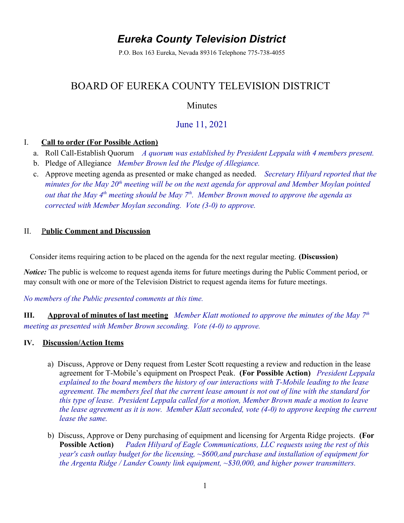# *Eureka County Television District*

P.O. Box 163 Eureka, Nevada 89316 Telephone 775-738-4055

# BOARD OF EUREKA COUNTY TELEVISION DISTRICT

## Minutes

# June 11, 2021

### I. **Call to order (For Possible Action)**

- a. Roll Call-Establish Quorum *A quorum was established by President Leppala with 4 members present.*
- b. Pledge of Allegiance *Member Brown led the Pledge of Allegiance.*
- c. Approve meeting agenda as presented or make changed as needed. *Secretary Hilyard reported that the minutes for the May 20th meeting will be on the next agenda for approval and Member Moylan pointed out that the May 4th meeting should be May 7th. Member Brown moved to approve the agenda as corrected with Member Moylan seconding. Vote (3-0) to approve.*

### II.P**ublic Comment and Discussion**

Consider items requiring action to be placed on the agenda for the next regular meeting. **(Discussion)** 

*Notice:* The public is welcome to request agenda items for future meetings during the Public Comment period, or may consult with one or more of the Television District to request agenda items for future meetings.

*No members of the Public presented comments at this time.*

**III. Approval of minutes of last meeting** *Member Klatt motioned to approve the minutes of the May 7th meeting as presented with Member Brown seconding. Vote (4-0) to approve.* 

#### **IV. Discussion/Action Items**

- a)Discuss, Approve or Deny request from Lester Scott requesting a review and reduction in the lease agreement for T-Mobile's equipment on Prospect Peak. **(For Possible Action)** *President Leppala explained to the board members the history of our interactions with T-Mobile leading to the lease agreement. The members feel that the current lease amount is not out of line with the standard for this type of lease. President Leppala called for a motion, Member Brown made a motion to leave the lease agreement as it is now. Member Klatt seconded, vote (4-0) to approve keeping the current lease the same.*
- b)Discuss, Approve or Deny purchasing of equipment and licensing for Argenta Ridge projects. **(For Possible Action)** *Paden Hilyard of Eagle Communications, LLC requests using the rest of this year's cash outlay budget for the licensing, ~\$600,and purchase and installation of equipment for the Argenta Ridge / Lander County link equipment, ~\$30,000, and higher power transmitters.*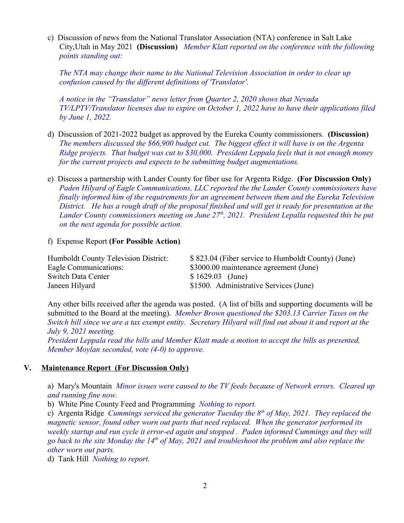c)Discussion of news from the National Translator Association (NTA) conference in Salt Lake City,Utah in May 2021 **(Discussion)** *Member Klatt reported on the conference with the following points standing out:*

*The NTA may change their name to the National Television Association in order to clear up confusion caused by the different definitions of 'Translator'.* 

*A notice in the "Translator" news letter from Quarter 2, 2020 shows that Nevada TV/LPTV/Translator licenses due to expire on October 1, 2022 have to have their applications filed by June 1, 2022.* 

- d)Discussion of 2021-2022 budget as approved by the Eureka County commissioners. **(Discussion)**  *The members discussed the \$66,900 budget cut. The biggest effect it will have is on the Argenta Ridge projects. That budget was cut to \$30,000. President Leppala feels that is not enough money for the current projects and expects to be submitting budget augmentations.*
- e)Discuss a partnership with Lander County for fiber use for Argenta Ridge. **(For Discussion Only)**  *Paden Hilyard of Eagle Communications, LLC reported the the Lander County commissioners have finally informed him of the requirements for an agreement between them and the Eureka Television District. He has a rough draft of the proposal finished and will get it ready for presentation at the Lander County commissioners meeting on June 27th, 2021. President Lepalla requested this be put on the next agenda for possible action.*

#### f)Expense Report **(For Possible Action)**

| Humboldt County Television District: | \$823.04 (Fiber service to Humboldt County) (June) |
|--------------------------------------|----------------------------------------------------|
| Eagle Communications:                | \$3000.00 maintenance agreement (June)             |
| <b>Switch Data Center</b>            | $$1629.03$ (June)                                  |
| Janeen Hilyard                       | \$1500. Administrative Services (June)             |

Any other bills received after the agenda was posted. (A list of bills and supporting documents will be submitted to the Board at the meeting). *Member Brown questioned the \$203.13 Carrier Taxes on the Switch bill since we are a tax exempt entity. Secretary Hilyard will find out about it and report at the July 9, 2021 meeting.*

*President Leppala read the bills and Member Klatt made a motion to accept the bills as presented, Member Moylan seconded, vote (4-0) to approve.*

#### **V. Maintenance Report (For Discussion Only)**

a) Mary's Mountain *Minor issues were caused to the TV feeds because of Network errors. Cleared up and running fine now.*

b) White Pine County Feed and Programming *Nothing to report.*

c) Argenta Ridge *Cummings serviced the generator Tuesday the 8th of May, 2021. They replaced the magnetic sensor, found other worn out parts that need replaced. When the generator performed its weekly startup and run cycle it error-ed again and stopped . Paden informed Cummings and they will go back to the site Monday the 14th of May, 2021 and troubleshoot the problem and also replace the other worn out parts.*

d) Tank Hill *Nothing to report.*